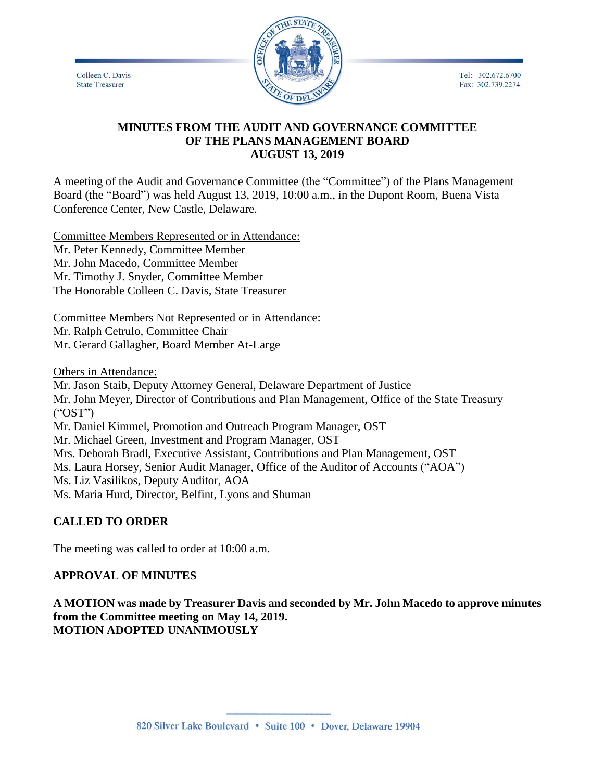Tel: 302.672.6700 Fax: 302.739.2274

Colleen C. Davis **State Treasurer** 



### **MINUTES FROM THE AUDIT AND GOVERNANCE COMMITTEE OF THE PLANS MANAGEMENT BOARD AUGUST 13, 2019**

A meeting of the Audit and Governance Committee (the "Committee") of the Plans Management Board (the "Board") was held August 13, 2019, 10:00 a.m., in the Dupont Room, Buena Vista Conference Center, New Castle, Delaware.

Committee Members Represented or in Attendance: Mr. Peter Kennedy, Committee Member Mr. John Macedo, Committee Member Mr. Timothy J. Snyder, Committee Member The Honorable Colleen C. Davis, State Treasurer

Committee Members Not Represented or in Attendance: Mr. Ralph Cetrulo, Committee Chair Mr. Gerard Gallagher, Board Member At-Large

Others in Attendance:

Mr. Jason Staib, Deputy Attorney General, Delaware Department of Justice Mr. John Meyer, Director of Contributions and Plan Management, Office of the State Treasury  $(^{\circ}$ OST") Mr. Daniel Kimmel, Promotion and Outreach Program Manager, OST Mr. Michael Green, Investment and Program Manager, OST Mrs. Deborah Bradl, Executive Assistant, Contributions and Plan Management, OST Ms. Laura Horsey, Senior Audit Manager, Office of the Auditor of Accounts ("AOA") Ms. Liz Vasilikos, Deputy Auditor, AOA Ms. Maria Hurd, Director, Belfint, Lyons and Shuman

# **CALLED TO ORDER**

The meeting was called to order at 10:00 a.m.

# **APPROVAL OF MINUTES**

**A MOTION was made by Treasurer Davis and seconded by Mr. John Macedo to approve minutes from the Committee meeting on May 14, 2019. MOTION ADOPTED UNANIMOUSLY**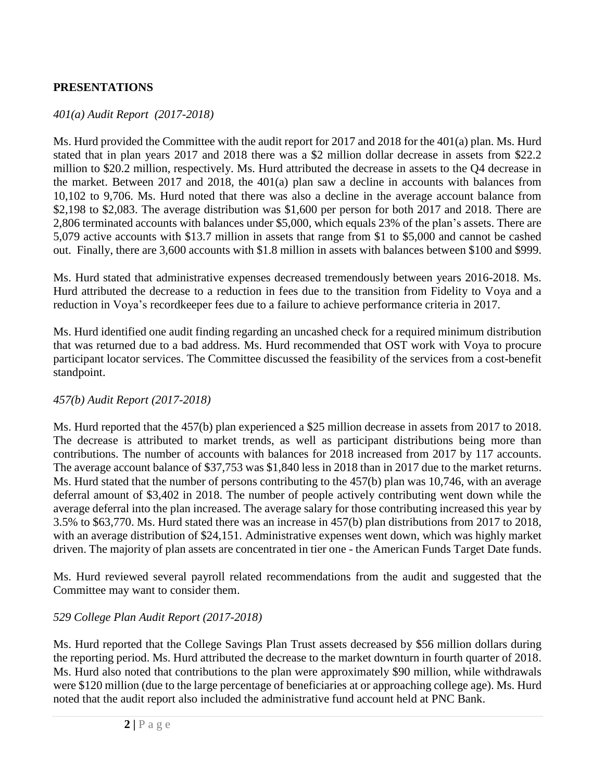# **PRESENTATIONS**

### *401(a) Audit Report (2017-2018)*

Ms. Hurd provided the Committee with the audit report for 2017 and 2018 for the 401(a) plan. Ms. Hurd stated that in plan years 2017 and 2018 there was a \$2 million dollar decrease in assets from \$22.2 million to \$20.2 million, respectively. Ms. Hurd attributed the decrease in assets to the Q4 decrease in the market. Between 2017 and 2018, the 401(a) plan saw a decline in accounts with balances from 10,102 to 9,706. Ms. Hurd noted that there was also a decline in the average account balance from \$2,198 to \$2,083. The average distribution was \$1,600 per person for both 2017 and 2018. There are 2,806 terminated accounts with balances under \$5,000, which equals 23% of the plan's assets. There are 5,079 active accounts with \$13.7 million in assets that range from \$1 to \$5,000 and cannot be cashed out. Finally, there are 3,600 accounts with \$1.8 million in assets with balances between \$100 and \$999.

Ms. Hurd stated that administrative expenses decreased tremendously between years 2016-2018. Ms. Hurd attributed the decrease to a reduction in fees due to the transition from Fidelity to Voya and a reduction in Voya's recordkeeper fees due to a failure to achieve performance criteria in 2017.

Ms. Hurd identified one audit finding regarding an uncashed check for a required minimum distribution that was returned due to a bad address. Ms. Hurd recommended that OST work with Voya to procure participant locator services. The Committee discussed the feasibility of the services from a cost-benefit standpoint.

### *457(b) Audit Report (2017-2018)*

Ms. Hurd reported that the 457(b) plan experienced a \$25 million decrease in assets from 2017 to 2018. The decrease is attributed to market trends, as well as participant distributions being more than contributions. The number of accounts with balances for 2018 increased from 2017 by 117 accounts. The average account balance of \$37,753 was \$1,840 less in 2018 than in 2017 due to the market returns. Ms. Hurd stated that the number of persons contributing to the 457(b) plan was 10,746, with an average deferral amount of \$3,402 in 2018. The number of people actively contributing went down while the average deferral into the plan increased. The average salary for those contributing increased this year by 3.5% to \$63,770. Ms. Hurd stated there was an increase in 457(b) plan distributions from 2017 to 2018, with an average distribution of \$24,151. Administrative expenses went down, which was highly market driven. The majority of plan assets are concentrated in tier one - the American Funds Target Date funds.

Ms. Hurd reviewed several payroll related recommendations from the audit and suggested that the Committee may want to consider them.

# *529 College Plan Audit Report (2017-2018)*

Ms. Hurd reported that the College Savings Plan Trust assets decreased by \$56 million dollars during the reporting period. Ms. Hurd attributed the decrease to the market downturn in fourth quarter of 2018. Ms. Hurd also noted that contributions to the plan were approximately \$90 million, while withdrawals were \$120 million (due to the large percentage of beneficiaries at or approaching college age). Ms. Hurd noted that the audit report also included the administrative fund account held at PNC Bank.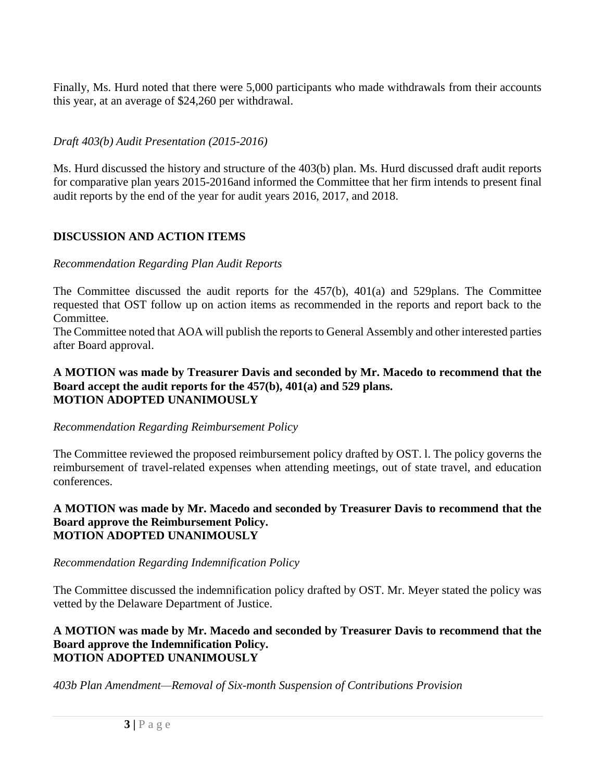Finally, Ms. Hurd noted that there were 5,000 participants who made withdrawals from their accounts this year, at an average of \$24,260 per withdrawal.

*Draft 403(b) Audit Presentation (2015-2016)*

Ms. Hurd discussed the history and structure of the 403(b) plan. Ms. Hurd discussed draft audit reports for comparative plan years 2015-2016and informed the Committee that her firm intends to present final audit reports by the end of the year for audit years 2016, 2017, and 2018.

# **DISCUSSION AND ACTION ITEMS**

### *Recommendation Regarding Plan Audit Reports*

The Committee discussed the audit reports for the 457(b), 401(a) and 529plans. The Committee requested that OST follow up on action items as recommended in the reports and report back to the Committee.

The Committee noted that AOA will publish the reports to General Assembly and other interested parties after Board approval.

#### **A MOTION was made by Treasurer Davis and seconded by Mr. Macedo to recommend that the Board accept the audit reports for the 457(b), 401(a) and 529 plans. MOTION ADOPTED UNANIMOUSLY**

### *Recommendation Regarding Reimbursement Policy*

The Committee reviewed the proposed reimbursement policy drafted by OST. l. The policy governs the reimbursement of travel-related expenses when attending meetings, out of state travel, and education conferences.

#### **A MOTION was made by Mr. Macedo and seconded by Treasurer Davis to recommend that the Board approve the Reimbursement Policy. MOTION ADOPTED UNANIMOUSLY**

# *Recommendation Regarding Indemnification Policy*

The Committee discussed the indemnification policy drafted by OST. Mr. Meyer stated the policy was vetted by the Delaware Department of Justice.

#### **A MOTION was made by Mr. Macedo and seconded by Treasurer Davis to recommend that the Board approve the Indemnification Policy. MOTION ADOPTED UNANIMOUSLY**

*403b Plan Amendment—Removal of Six-month Suspension of Contributions Provision*